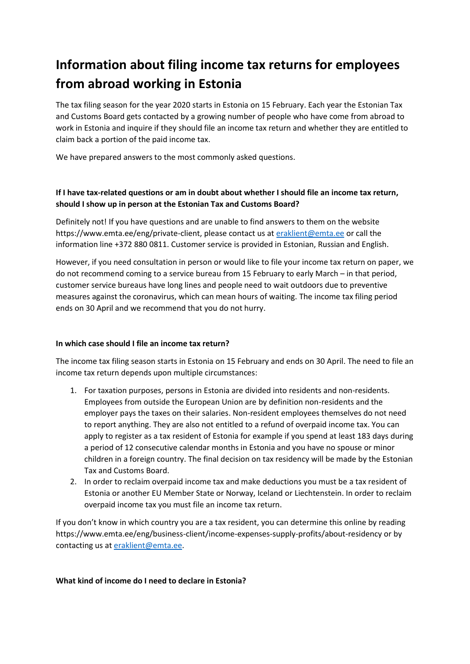# **Information about filing income tax returns for employees from abroad working in Estonia**

The tax filing season for the year 2020 starts in Estonia on 15 February. Each year the Estonian Tax and Customs Board gets contacted by a growing number of people who have come from abroad to work in Estonia and inquire if they should file an income tax return and whether they are entitled to claim back a portion of the paid income tax.

We have prepared answers to the most commonly asked questions.

## **If I have tax-related questions or am in doubt about whether I should file an income tax return, should I show up in person at the Estonian Tax and Customs Board?**

Definitely not! If you have questions and are unable to find answers to them on the website https://www.emta.ee/eng/private-client, please contact us at [eraklient@emta.ee](mailto:eraklient@emta.ee) or call the information line +372 880 0811. Customer service is provided in Estonian, Russian and English.

However, if you need consultation in person or would like to file your income tax return on paper, we do not recommend coming to a service bureau from 15 February to early March – in that period, customer service bureaus have long lines and people need to wait outdoors due to preventive measures against the coronavirus, which can mean hours of waiting. The income tax filing period ends on 30 April and we recommend that you do not hurry.

### **In which case should I file an income tax return?**

The income tax filing season starts in Estonia on 15 February and ends on 30 April. The need to file an income tax return depends upon multiple circumstances:

- 1. For taxation purposes, persons in Estonia are divided into residents and non-residents. Employees from outside the European Union are by definition non-residents and the employer pays the taxes on their salaries. Non-resident employees themselves do not need to report anything. They are also not entitled to a refund of overpaid income tax. You can apply to register as a tax resident of Estonia for example if you spend at least 183 days during a period of 12 consecutive calendar months in Estonia and you have no spouse or minor children in a foreign country. The final decision on tax residency will be made by the Estonian Tax and Customs Board.
- 2. In order to reclaim overpaid income tax and make deductions you must be a tax resident of Estonia or another EU Member State or Norway, Iceland or Liechtenstein. In order to reclaim overpaid income tax you must file an income tax return.

If you don't know in which country you are a tax resident, you can determine this online by reading https://www.emta.ee/eng/business-client/income-expenses-supply-profits/about-residency or by contacting us at [eraklient@emta.ee.](mailto:eraklient@emta.ee)

#### **What kind of income do I need to declare in Estonia?**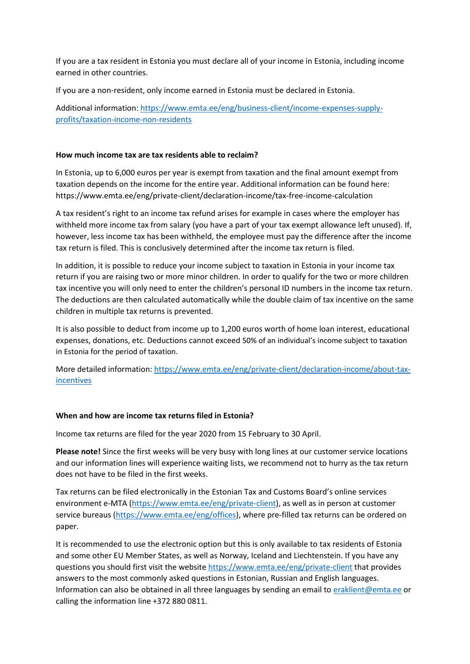If you are a tax resident in Estonia you must declare all of your income in Estonia, including income earned in other countries.

If you are a non-resident, only income earned in Estonia must be declared in Estonia.

Additional information: [https://www.emta.ee/eng/business-client/income-expenses-supply](https://www.emta.ee/eng/business-client/income-expenses-supply-profits/taxation-income-non-residents)[profits/taxation-income-non-residents](https://www.emta.ee/eng/business-client/income-expenses-supply-profits/taxation-income-non-residents)

#### **How much income tax are tax residents able to reclaim?**

In Estonia, up to 6,000 euros per year is exempt from taxation and the final amount exempt from taxation depends on the income for the entire year. Additional information can be found here: https://www.emta.ee/eng/private-client/declaration-income/tax-free-income-calculation

A tax resident's right to an income tax refund arises for example in cases where the employer has withheld more income tax from salary (you have a part of your tax exempt allowance left unused). If, however, less income tax has been withheld, the employee must pay the difference after the income tax return is filed. This is conclusively determined after the income tax return is filed.

In addition, it is possible to reduce your income subject to taxation in Estonia in your income tax return if you are raising two or more minor children. In order to qualify for the two or more children tax incentive you will only need to enter the children's personal ID numbers in the income tax return. The deductions are then calculated automatically while the double claim of tax incentive on the same children in multiple tax returns is prevented.

It is also possible to deduct from income up to 1,200 euros worth of home loan interest, educational expenses, donations, etc. Deductions cannot exceed 50% of an individual's income subject to taxation in Estonia for the period of taxation.

More detailed information: [https://www.emta.ee/eng/private-client/declaration-income/about-tax](https://www.emta.ee/eng/private-client/declaration-income/about-tax-incentives)[incentives](https://www.emta.ee/eng/private-client/declaration-income/about-tax-incentives)

#### **When and how are income tax returns filed in Estonia?**

Income tax returns are filed for the year 2020 from 15 February to 30 April.

**Please note!** Since the first weeks will be very busy with long lines at our customer service locations and our information lines will experience waiting lists, we recommend not to hurry as the tax return does not have to be filed in the first weeks.

Tax returns can be filed electronically in the Estonian Tax and Customs Board's online services environment e-MTA (https://www.emta.ee/eng/private-client), as well as in person at customer service bureaus (https://www.emta.ee/eng/offices), where pre-filled tax returns can be ordered on paper.

It is recommended to use the electronic option but this is only available to tax residents of Estonia and some other EU Member States, as well as Norway, Iceland and Liechtenstein. If you have any questions you should first visit the website https://www.emta.ee/eng/private-client that provides answers to the most commonly asked questions in Estonian, Russian and English languages. Information can also be obtained in all three languages by sending an email to [eraklient@emta.ee](mailto:eraklient@emta.ee) or calling the information line +372 880 0811.